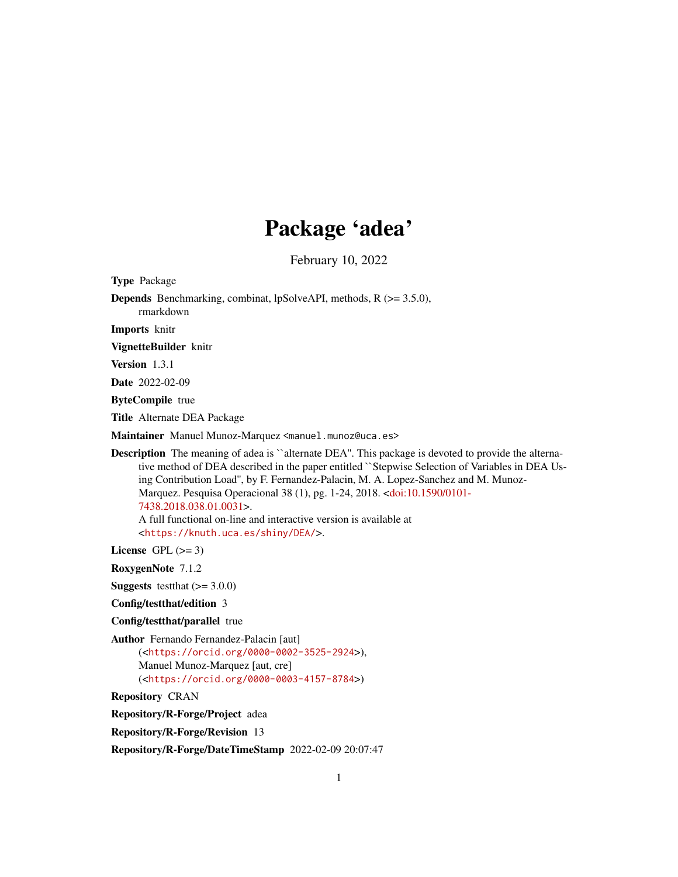# Package 'adea'

February 10, 2022

| <b>Type Package</b>                                                                                                                                                                                                                                                                                                                                                                                                                                                                                                                                        |
|------------------------------------------------------------------------------------------------------------------------------------------------------------------------------------------------------------------------------------------------------------------------------------------------------------------------------------------------------------------------------------------------------------------------------------------------------------------------------------------------------------------------------------------------------------|
| <b>Depends</b> Benchmarking, combinat, lpSolveAPI, methods, $R$ ( $> = 3.5.0$ ),<br>rmarkdown                                                                                                                                                                                                                                                                                                                                                                                                                                                              |
| <b>Imports</b> knitr                                                                                                                                                                                                                                                                                                                                                                                                                                                                                                                                       |
| VignetteBuilder knitr                                                                                                                                                                                                                                                                                                                                                                                                                                                                                                                                      |
| Version 1.3.1                                                                                                                                                                                                                                                                                                                                                                                                                                                                                                                                              |
| <b>Date</b> 2022-02-09                                                                                                                                                                                                                                                                                                                                                                                                                                                                                                                                     |
| <b>ByteCompile</b> true                                                                                                                                                                                                                                                                                                                                                                                                                                                                                                                                    |
| Title Alternate DEA Package                                                                                                                                                                                                                                                                                                                                                                                                                                                                                                                                |
| Maintainer Manuel Munoz-Marquez <manuel.munoz@uca.es></manuel.munoz@uca.es>                                                                                                                                                                                                                                                                                                                                                                                                                                                                                |
| <b>Description</b> The meaning of adea is "alternate DEA". This package is devoted to provide the alterna-<br>tive method of DEA described in the paper entitled "Stepwise Selection of Variables in DEA Us-<br>ing Contribution Load", by F. Fernandez-Palacin, M. A. Lopez-Sanchez and M. Munoz-<br>Marquez. Pesquisa Operacional 38 (1), pg. 1-24, 2018. <doi:10.1590 0101-<br="">7438.2018.038.01.0031&gt;.<br/>A full functional on-line and interactive version is available at<br/><https: dea="" knuth.uca.es="" shiny=""></https:>.</doi:10.1590> |
| License GPL $(>= 3)$                                                                                                                                                                                                                                                                                                                                                                                                                                                                                                                                       |
| RoxygenNote 7.1.2                                                                                                                                                                                                                                                                                                                                                                                                                                                                                                                                          |
| <b>Suggests</b> test that $(>= 3.0.0)$                                                                                                                                                                                                                                                                                                                                                                                                                                                                                                                     |
| Config/testthat/edition 3                                                                                                                                                                                                                                                                                                                                                                                                                                                                                                                                  |
| Config/testthat/parallel true                                                                                                                                                                                                                                                                                                                                                                                                                                                                                                                              |
| Author Fernando Fernandez-Palacin [aut]<br>( <https: 0000-0002-3525-2924="" orcid.org="">),<br/>Manuel Munoz-Marquez [aut, cre]<br/>(<https: 0000-0003-4157-8784="" orcid.org="">)</https:></https:>                                                                                                                                                                                                                                                                                                                                                       |
| <b>Repository CRAN</b>                                                                                                                                                                                                                                                                                                                                                                                                                                                                                                                                     |
| Repository/R-Forge/Project adea                                                                                                                                                                                                                                                                                                                                                                                                                                                                                                                            |
| <b>Repository/R-Forge/Revision 13</b>                                                                                                                                                                                                                                                                                                                                                                                                                                                                                                                      |

Repository/R-Forge/DateTimeStamp 2022-02-09 20:07:47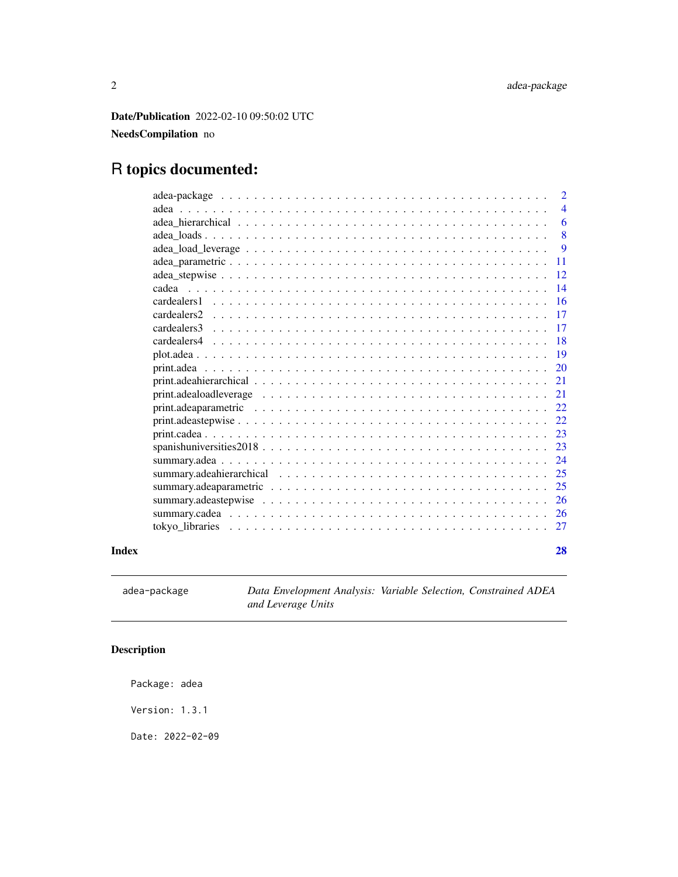<span id="page-1-0"></span>Date/Publication 2022-02-10 09:50:02 UTC

### NeedsCompilation no

## R topics documented:

|       |                                                                                                                   | $\overline{2}$ |
|-------|-------------------------------------------------------------------------------------------------------------------|----------------|
|       |                                                                                                                   | $\overline{4}$ |
|       |                                                                                                                   | 6              |
|       |                                                                                                                   | 8              |
|       |                                                                                                                   | 9              |
|       |                                                                                                                   | 11             |
|       |                                                                                                                   | 12             |
|       |                                                                                                                   | 14             |
|       | cardealers1                                                                                                       | 16             |
|       | cardealers <sub>2</sub>                                                                                           | 17             |
|       | cardealers3                                                                                                       | 17             |
|       |                                                                                                                   | 18             |
|       |                                                                                                                   | 19             |
|       |                                                                                                                   | 20             |
|       |                                                                                                                   | 21             |
|       |                                                                                                                   | 21             |
|       | print.adeaparametric $\ldots \ldots \ldots \ldots \ldots \ldots \ldots \ldots \ldots \ldots \ldots \ldots \ldots$ | 22             |
|       |                                                                                                                   | 22             |
|       | 23                                                                                                                |                |
|       |                                                                                                                   | 23             |
|       |                                                                                                                   | 24             |
|       | 25                                                                                                                |                |
|       |                                                                                                                   | 25             |
|       |                                                                                                                   | 26             |
|       |                                                                                                                   | 26             |
|       |                                                                                                                   | 27             |
|       |                                                                                                                   |                |
| Index |                                                                                                                   | 28             |

<span id="page-1-1"></span>adea-package *Data Envelopment Analysis: Variable Selection, Constrained ADEA and Leverage Units*

## Description

Package: adea

Version: 1.3.1

Date: 2022-02-09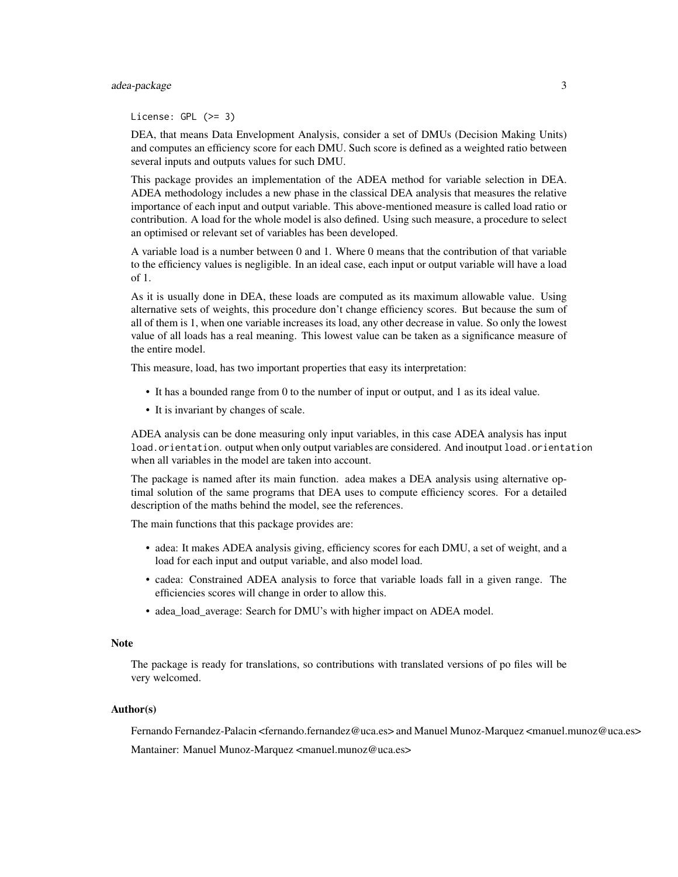#### adea-package 3

License: GPL (>= 3)

DEA, that means Data Envelopment Analysis, consider a set of DMUs (Decision Making Units) and computes an efficiency score for each DMU. Such score is defined as a weighted ratio between several inputs and outputs values for such DMU.

This package provides an implementation of the ADEA method for variable selection in DEA. ADEA methodology includes a new phase in the classical DEA analysis that measures the relative importance of each input and output variable. This above-mentioned measure is called load ratio or contribution. A load for the whole model is also defined. Using such measure, a procedure to select an optimised or relevant set of variables has been developed.

A variable load is a number between 0 and 1. Where 0 means that the contribution of that variable to the efficiency values is negligible. In an ideal case, each input or output variable will have a load of 1.

As it is usually done in DEA, these loads are computed as its maximum allowable value. Using alternative sets of weights, this procedure don't change efficiency scores. But because the sum of all of them is 1, when one variable increases its load, any other decrease in value. So only the lowest value of all loads has a real meaning. This lowest value can be taken as a significance measure of the entire model.

This measure, load, has two important properties that easy its interpretation:

- It has a bounded range from 0 to the number of input or output, and 1 as its ideal value.
- It is invariant by changes of scale.

ADEA analysis can be done measuring only input variables, in this case ADEA analysis has input load.orientation. output when only output variables are considered. And inoutput load.orientation when all variables in the model are taken into account.

The package is named after its main function. adea makes a DEA analysis using alternative optimal solution of the same programs that DEA uses to compute efficiency scores. For a detailed description of the maths behind the model, see the references.

The main functions that this package provides are:

- adea: It makes ADEA analysis giving, efficiency scores for each DMU, a set of weight, and a load for each input and output variable, and also model load.
- cadea: Constrained ADEA analysis to force that variable loads fall in a given range. The efficiencies scores will change in order to allow this.
- adea load average: Search for DMU's with higher impact on ADEA model.

#### Note

The package is ready for translations, so contributions with translated versions of po files will be very welcomed.

#### Author(s)

Fernando Fernandez-Palacin <fernando.fernandez@uca.es> and Manuel Munoz-Marquez <manuel.munoz@uca.es> Mantainer: Manuel Munoz-Marquez <manuel.munoz@uca.es>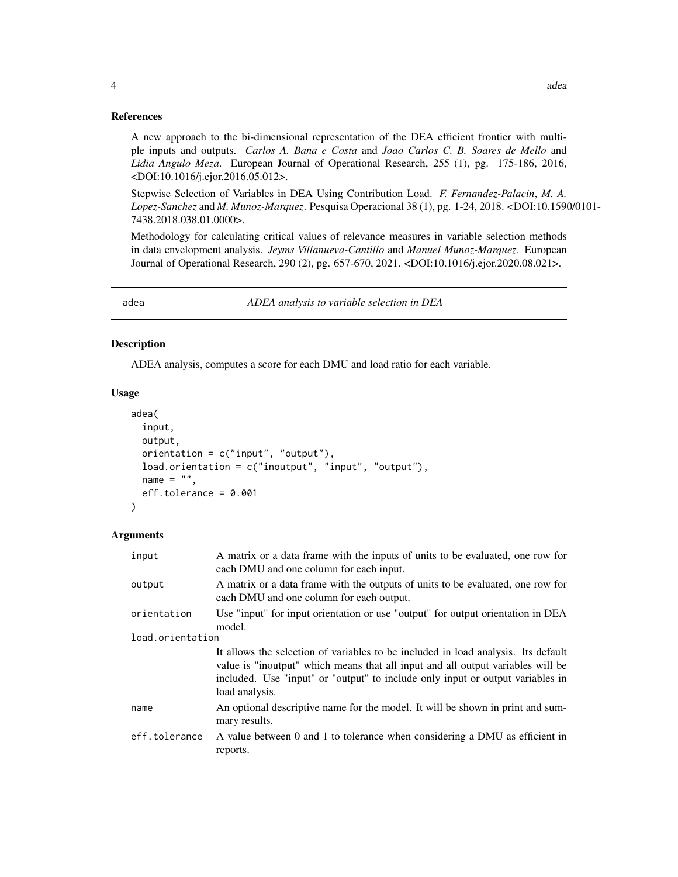#### <span id="page-3-0"></span>References

A new approach to the bi-dimensional representation of the DEA efficient frontier with multiple inputs and outputs. *Carlos A. Bana e Costa* and *Joao Carlos C. B. Soares de Mello* and *Lidia Angulo Meza*. European Journal of Operational Research, 255 (1), pg. 175-186, 2016, <DOI:10.1016/j.ejor.2016.05.012>.

Stepwise Selection of Variables in DEA Using Contribution Load. *F. Fernandez-Palacin*, *M. A. Lopez-Sanchez* and *M. Munoz-Marquez*. Pesquisa Operacional 38 (1), pg. 1-24, 2018. <DOI:10.1590/0101- 7438.2018.038.01.0000>.

Methodology for calculating critical values of relevance measures in variable selection methods in data envelopment analysis. *Jeyms Villanueva-Cantillo* and *Manuel Munoz-Marquez*. European Journal of Operational Research, 290 (2), pg. 657-670, 2021. <DOI:10.1016/j.ejor.2020.08.021>.

<span id="page-3-1"></span>adea *ADEA analysis to variable selection in DEA*

#### Description

ADEA analysis, computes a score for each DMU and load ratio for each variable.

#### Usage

```
adea(
  input,
 output,
 orientation = c("input", "output"),load.orientation = c("inoutput", "input", "output"),
  name = ",
  eff.tolerance = 0.001
)
```

| input            | A matrix or a data frame with the inputs of units to be evaluated, one row for<br>each DMU and one column for each input.                                                                                                                                                |  |
|------------------|--------------------------------------------------------------------------------------------------------------------------------------------------------------------------------------------------------------------------------------------------------------------------|--|
| output           | A matrix or a data frame with the outputs of units to be evaluated, one row for<br>each DMU and one column for each output.                                                                                                                                              |  |
| orientation      | Use "input" for input orientation or use "output" for output orientation in DEA<br>model.                                                                                                                                                                                |  |
| load.orientation |                                                                                                                                                                                                                                                                          |  |
|                  | It allows the selection of variables to be included in load analysis. Its default<br>value is "inoutput" which means that all input and all output variables will be<br>included. Use "input" or "output" to include only input or output variables in<br>load analysis. |  |
| name             | An optional descriptive name for the model. It will be shown in print and sum-<br>mary results.                                                                                                                                                                          |  |
| eff.tolerance    | A value between 0 and 1 to tolerance when considering a DMU as efficient in<br>reports.                                                                                                                                                                                  |  |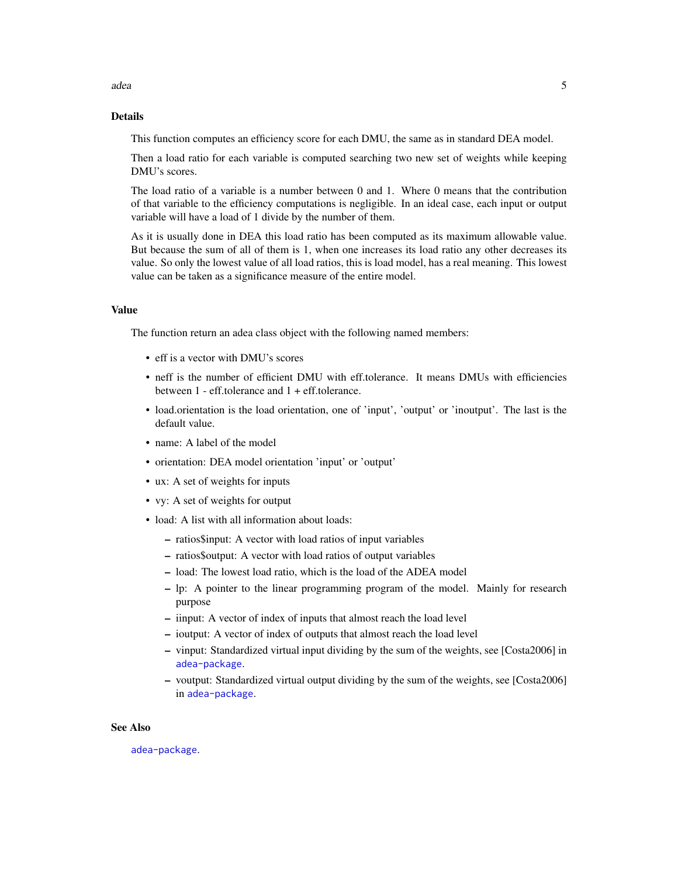## Details

This function computes an efficiency score for each DMU, the same as in standard DEA model.

Then a load ratio for each variable is computed searching two new set of weights while keeping DMU's scores.

The load ratio of a variable is a number between 0 and 1. Where 0 means that the contribution of that variable to the efficiency computations is negligible. In an ideal case, each input or output variable will have a load of 1 divide by the number of them.

As it is usually done in DEA this load ratio has been computed as its maximum allowable value. But because the sum of all of them is 1, when one increases its load ratio any other decreases its value. So only the lowest value of all load ratios, this is load model, has a real meaning. This lowest value can be taken as a significance measure of the entire model.

#### Value

The function return an adea class object with the following named members:

- eff is a vector with DMU's scores
- neff is the number of efficient DMU with eff.tolerance. It means DMUs with efficiencies between 1 - eff.tolerance and 1 + eff.tolerance.
- load.orientation is the load orientation, one of 'input', 'output' or 'inoutput'. The last is the default value.
- name: A label of the model
- orientation: DEA model orientation 'input' or 'output'
- ux: A set of weights for inputs
- vy: A set of weights for output
- load: A list with all information about loads:
	- ratios\$input: A vector with load ratios of input variables
	- ratios\$output: A vector with load ratios of output variables
	- load: The lowest load ratio, which is the load of the ADEA model
	- lp: A pointer to the linear programming program of the model. Mainly for research purpose
	- iinput: A vector of index of inputs that almost reach the load level
	- ioutput: A vector of index of outputs that almost reach the load level
	- vinput: Standardized virtual input dividing by the sum of the weights, see [Costa2006] in [adea-package](#page-1-1).
	- voutput: Standardized virtual output dividing by the sum of the weights, see [Costa2006] in [adea-package](#page-1-1).

#### See Also

[adea-package](#page-1-1).

adea  $5\,$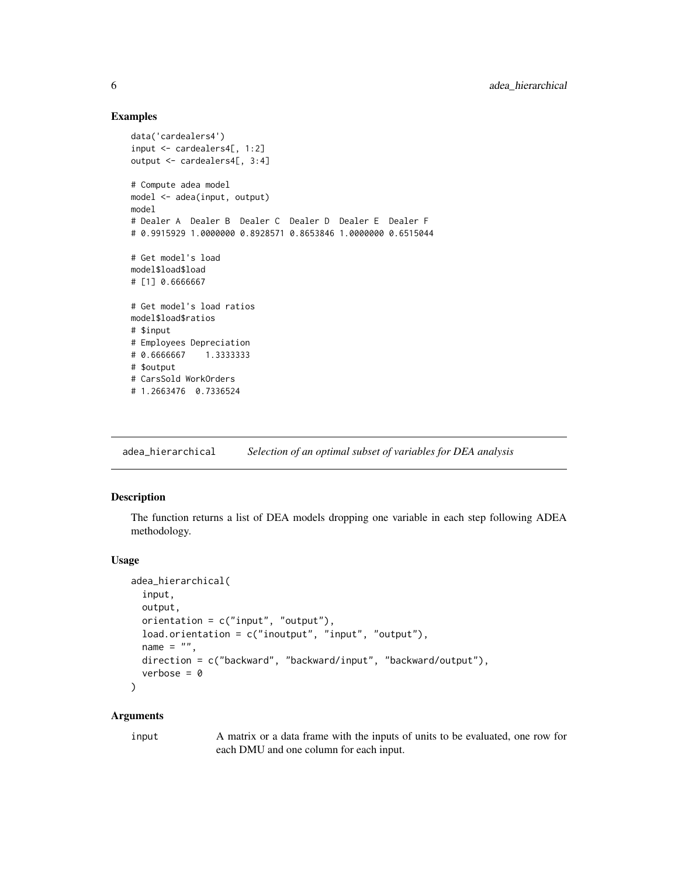#### Examples

```
data('cardealers4')
input <- cardealers4[, 1:2]
output <- cardealers4[, 3:4]
# Compute adea model
model <- adea(input, output)
model
# Dealer A Dealer B Dealer C Dealer D Dealer E Dealer F
# 0.9915929 1.0000000 0.8928571 0.8653846 1.0000000 0.6515044
# Get model's load
model$load$load
# [1] 0.6666667
# Get model's load ratios
model$load$ratios
# $input
# Employees Depreciation
# 0.6666667 1.3333333
# $output
# CarsSold WorkOrders
# 1.2663476 0.7336524
```
<span id="page-5-1"></span>adea\_hierarchical *Selection of an optimal subset of variables for DEA analysis*

#### Description

The function returns a list of DEA models dropping one variable in each step following ADEA methodology.

#### Usage

```
adea_hierarchical(
  input,
  output,
 orientation = c("input", "output"),
  load.orientation = c("inoutput", "input", "output"),
  name = ".
 direction = c("backward", "backward/input", "backward/output"),
  verbose = 0\lambda
```
#### Arguments

input A matrix or a data frame with the inputs of units to be evaluated, one row for each DMU and one column for each input.

<span id="page-5-0"></span>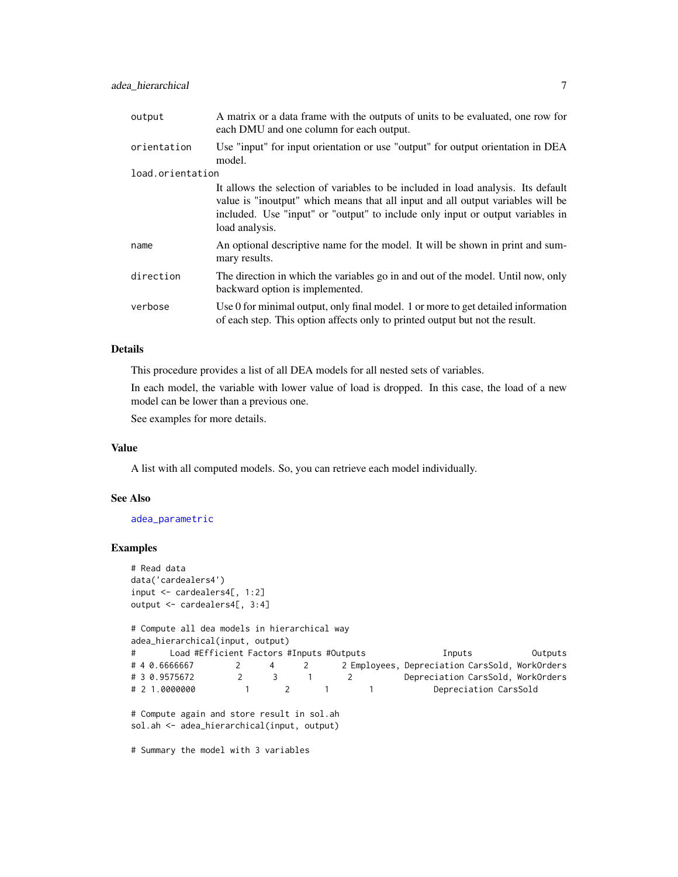<span id="page-6-0"></span>

| output           | A matrix or a data frame with the outputs of units to be evaluated, one row for<br>each DMU and one column for each output.                                                                                                                                              |  |
|------------------|--------------------------------------------------------------------------------------------------------------------------------------------------------------------------------------------------------------------------------------------------------------------------|--|
| orientation      | Use "input" for input orientation or use "output" for output orientation in DEA<br>model.                                                                                                                                                                                |  |
| load.orientation |                                                                                                                                                                                                                                                                          |  |
|                  | It allows the selection of variables to be included in load analysis. Its default<br>value is "inoutput" which means that all input and all output variables will be<br>included. Use "input" or "output" to include only input or output variables in<br>load analysis. |  |
| name             | An optional descriptive name for the model. It will be shown in print and sum-<br>mary results.                                                                                                                                                                          |  |
| direction        | The direction in which the variables go in and out of the model. Until now, only<br>backward option is implemented.                                                                                                                                                      |  |
| verbose          | Use 0 for minimal output, only final model. 1 or more to get detailed information<br>of each step. This option affects only to printed output but not the result.                                                                                                        |  |

#### Details

This procedure provides a list of all DEA models for all nested sets of variables.

In each model, the variable with lower value of load is dropped. In this case, the load of a new model can be lower than a previous one.

See examples for more details.

#### Value

A list with all computed models. So, you can retrieve each model individually.

#### See Also

[adea\\_parametric](#page-10-1)

#### Examples

```
# Read data
data('cardealers4')
input <- cardealers4[, 1:2]
output <- cardealers4[, 3:4]
# Compute all dea models in hierarchical way
adea_hierarchical(input, output)
# Load #Efficient Factors #Inputs #Outputs Inputs Outputs
# 4 0.6666667 2 4 2 2 Employees, Depreciation CarsSold, WorkOrders
# 3 0.9575672 2 3 1 2 Depreciation CarsSold, WorkOrders
# 2 1.0000000 1 2 1 1 Depreciation CarsSold
# Compute again and store result in sol.ah
sol.ah <- adea_hierarchical(input, output)
# Summary the model with 3 variables
```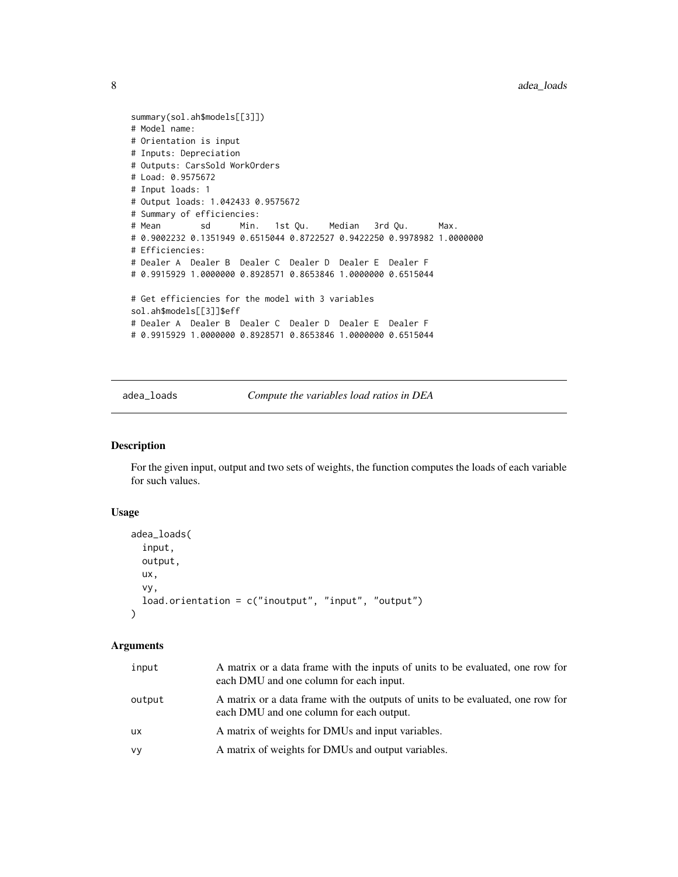```
summary(sol.ah$models[[3]])
# Model name:
# Orientation is input
# Inputs: Depreciation
# Outputs: CarsSold WorkOrders
# Load: 0.9575672
# Input loads: 1
# Output loads: 1.042433 0.9575672
# Summary of efficiencies:
# Mean sd Min. 1st Qu. Median 3rd Qu. Max.
# 0.9002232 0.1351949 0.6515044 0.8722527 0.9422250 0.9978982 1.0000000
# Efficiencies:
# Dealer A Dealer B Dealer C Dealer D Dealer E Dealer F
# 0.9915929 1.0000000 0.8928571 0.8653846 1.0000000 0.6515044
# Get efficiencies for the model with 3 variables
sol.ah$models[[3]]$eff
# Dealer A Dealer B Dealer C Dealer D Dealer E Dealer F
# 0.9915929 1.0000000 0.8928571 0.8653846 1.0000000 0.6515044
```
adea\_loads *Compute the variables load ratios in DEA*

#### Description

For the given input, output and two sets of weights, the function computes the loads of each variable for such values.

#### Usage

```
adea_loads(
  input,
  output,
  ux,
  vy,
  load.orientation = c("inoutput", "input", "output", "output"))
```

| input     | A matrix or a data frame with the inputs of units to be evaluated, one row for<br>each DMU and one column for each input.   |
|-----------|-----------------------------------------------------------------------------------------------------------------------------|
| output    | A matrix or a data frame with the outputs of units to be evaluated, one row for<br>each DMU and one column for each output. |
| <b>UX</b> | A matrix of weights for DMUs and input variables.                                                                           |
| vy        | A matrix of weights for DMUs and output variables.                                                                          |

<span id="page-7-0"></span>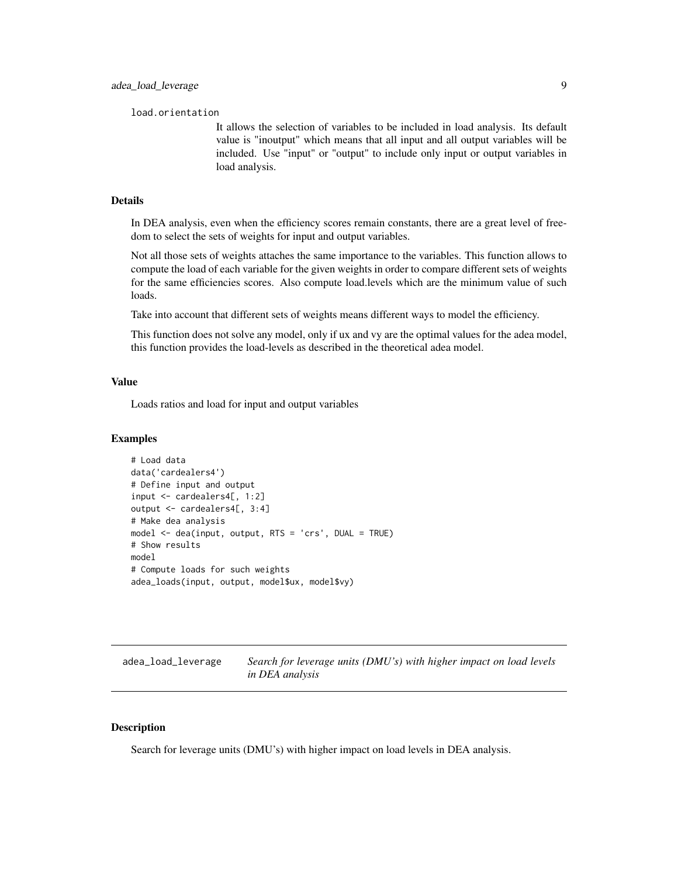<span id="page-8-0"></span>load.orientation

It allows the selection of variables to be included in load analysis. Its default value is "inoutput" which means that all input and all output variables will be included. Use "input" or "output" to include only input or output variables in load analysis.

#### Details

In DEA analysis, even when the efficiency scores remain constants, there are a great level of freedom to select the sets of weights for input and output variables.

Not all those sets of weights attaches the same importance to the variables. This function allows to compute the load of each variable for the given weights in order to compare different sets of weights for the same efficiencies scores. Also compute load.levels which are the minimum value of such loads.

Take into account that different sets of weights means different ways to model the efficiency.

This function does not solve any model, only if ux and vy are the optimal values for the adea model, this function provides the load-levels as described in the theoretical adea model.

#### Value

Loads ratios and load for input and output variables

#### Examples

```
# Load data
data('cardealers4')
# Define input and output
input <- cardealers4[, 1:2]
output <- cardealers4[, 3:4]
# Make dea analysis
model <- dea(input, output, RTS = 'crs', DUAL = TRUE)
# Show results
model
# Compute loads for such weights
adea_loads(input, output, model$ux, model$vy)
```
adea\_load\_leverage *Search for leverage units (DMU's) with higher impact on load levels in DEA analysis*

#### **Description**

Search for leverage units (DMU's) with higher impact on load levels in DEA analysis.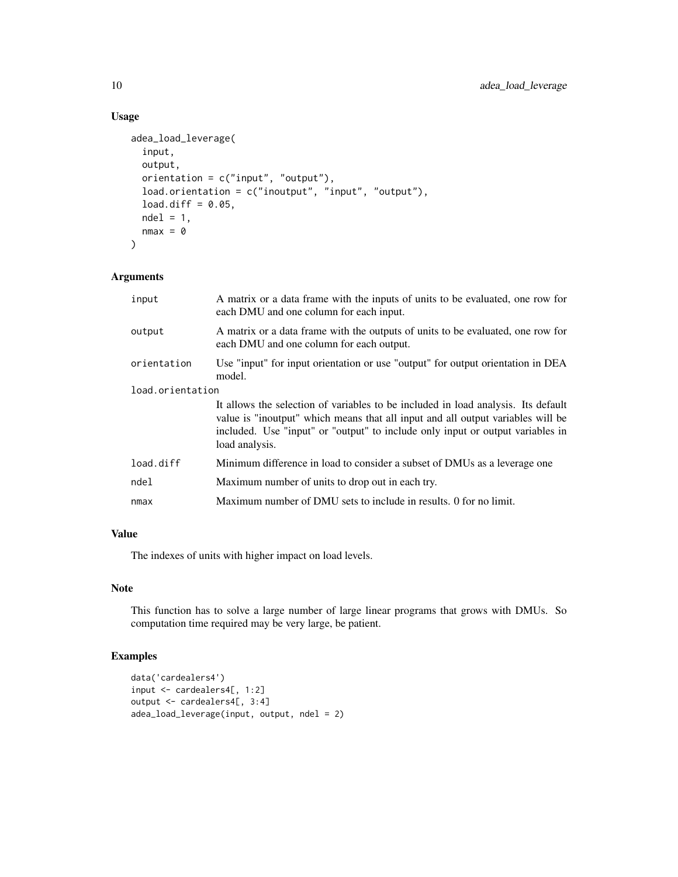### Usage

```
adea_load_leverage(
  input,
 output,
 orientation = c("input", "output"),
  load.orientation = c("inoutput", "input", "output"),
  load.diff = 0.05,
 ndel = 1,
  nmax = 0\mathcal{L}
```
#### Arguments

| input            | A matrix or a data frame with the inputs of units to be evaluated, one row for<br>each DMU and one column for each input.                                                                                                                                                |  |
|------------------|--------------------------------------------------------------------------------------------------------------------------------------------------------------------------------------------------------------------------------------------------------------------------|--|
| output           | A matrix or a data frame with the outputs of units to be evaluated, one row for<br>each DMU and one column for each output.                                                                                                                                              |  |
| orientation      | Use "input" for input orientation or use "output" for output orientation in DEA<br>model.                                                                                                                                                                                |  |
| load.orientation |                                                                                                                                                                                                                                                                          |  |
|                  | It allows the selection of variables to be included in load analysis. Its default<br>value is "inoutput" which means that all input and all output variables will be<br>included. Use "input" or "output" to include only input or output variables in<br>load analysis. |  |
| load.diff        | Minimum difference in load to consider a subset of DMUs as a leverage one                                                                                                                                                                                                |  |
| ndel             | Maximum number of units to drop out in each try.                                                                                                                                                                                                                         |  |
| nmax             | Maximum number of DMU sets to include in results. 0 for no limit.                                                                                                                                                                                                        |  |

#### Value

The indexes of units with higher impact on load levels.

#### Note

This function has to solve a large number of large linear programs that grows with DMUs. So computation time required may be very large, be patient.

#### Examples

```
data('cardealers4')
input <- cardealers4[, 1:2]
output <- cardealers4[, 3:4]
adea_load_leverage(input, output, ndel = 2)
```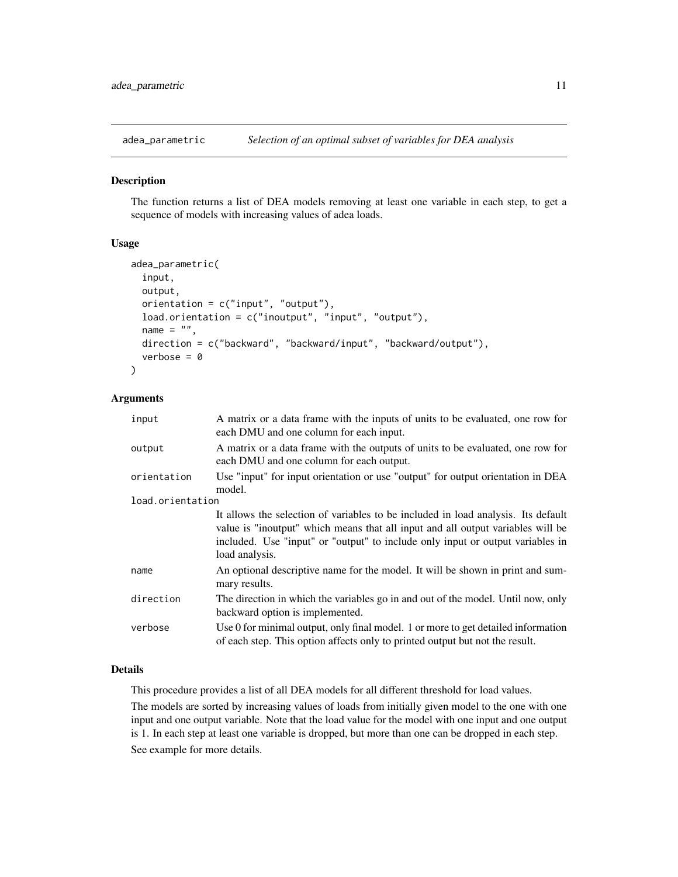<span id="page-10-1"></span><span id="page-10-0"></span>

#### **Description**

The function returns a list of DEA models removing at least one variable in each step, to get a sequence of models with increasing values of adea loads.

#### Usage

```
adea_parametric(
  input,
 output,
  orientation = c("input", "output"),
  load.orientation = c("inoutput", "input", "output"),
  name = ",
  direction = c("backward", "backward/input", "backward/output"),
  verbose = 0)
```
#### Arguments

| input            | A matrix or a data frame with the inputs of units to be evaluated, one row for<br>each DMU and one column for each input.                                                                                                                                                |  |
|------------------|--------------------------------------------------------------------------------------------------------------------------------------------------------------------------------------------------------------------------------------------------------------------------|--|
| output           | A matrix or a data frame with the outputs of units to be evaluated, one row for<br>each DMU and one column for each output.                                                                                                                                              |  |
| orientation      | Use "input" for input orientation or use "output" for output orientation in DEA<br>model.                                                                                                                                                                                |  |
| load.orientation |                                                                                                                                                                                                                                                                          |  |
|                  | It allows the selection of variables to be included in load analysis. Its default<br>value is "inoutput" which means that all input and all output variables will be<br>included. Use "input" or "output" to include only input or output variables in<br>load analysis. |  |
| name             | An optional descriptive name for the model. It will be shown in print and sum-<br>mary results.                                                                                                                                                                          |  |
| direction        | The direction in which the variables go in and out of the model. Until now, only<br>backward option is implemented.                                                                                                                                                      |  |
| verbose          | Use 0 for minimal output, only final model. 1 or more to get detailed information<br>of each step. This option affects only to printed output but not the result.                                                                                                        |  |

#### Details

This procedure provides a list of all DEA models for all different threshold for load values.

The models are sorted by increasing values of loads from initially given model to the one with one input and one output variable. Note that the load value for the model with one input and one output is 1. In each step at least one variable is dropped, but more than one can be dropped in each step. See example for more details.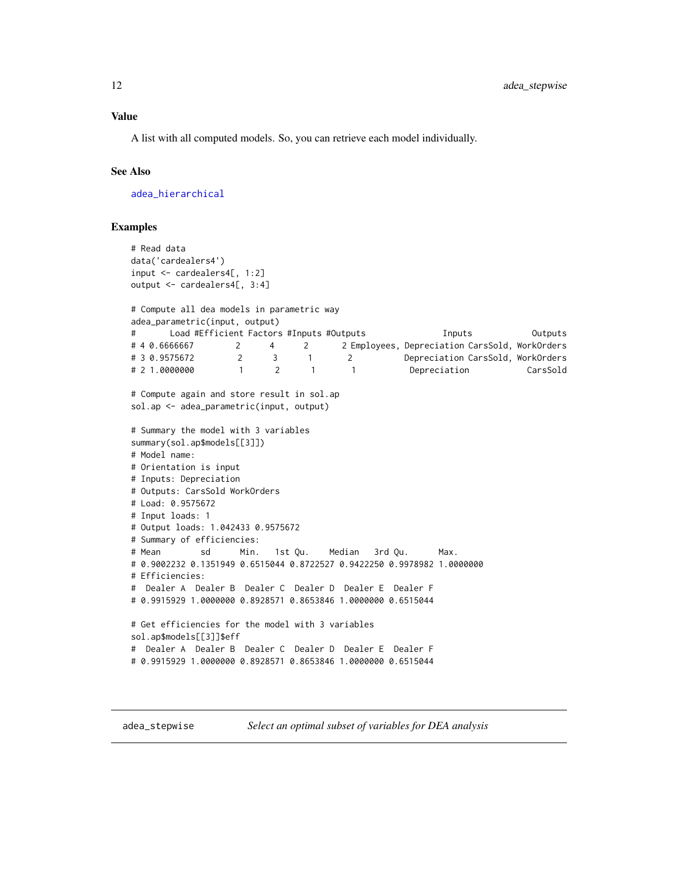<span id="page-11-0"></span>A list with all computed models. So, you can retrieve each model individually.

#### See Also

[adea\\_hierarchical](#page-5-1)

#### Examples

```
# Read data
data('cardealers4')
input <- cardealers4[, 1:2]
output <- cardealers4[, 3:4]
# Compute all dea models in parametric way
adea_parametric(input, output)
# Load #Efficient Factors #Inputs #Outputs Inputs Outputs
# 4 0.6666667 2 4 2 2 Employees, Depreciation CarsSold, WorkOrders
# 3 0.9575672 2 3 1 2 Depreciation CarsSold, WorkOrders
# 2 1.0000000 1 2 1 1 Depreciation CarsSold
# Compute again and store result in sol.ap
sol.ap <- adea_parametric(input, output)
# Summary the model with 3 variables
summary(sol.ap$models[[3]])
# Model name:
# Orientation is input
# Inputs: Depreciation
# Outputs: CarsSold WorkOrders
# Load: 0.9575672
# Input loads: 1
# Output loads: 1.042433 0.9575672
# Summary of efficiencies:
# Mean sd Min. 1st Qu. Median 3rd Qu. Max.
# 0.9002232 0.1351949 0.6515044 0.8722527 0.9422250 0.9978982 1.0000000
# Efficiencies:
# Dealer A Dealer B Dealer C Dealer D Dealer E Dealer F
# 0.9915929 1.0000000 0.8928571 0.8653846 1.0000000 0.6515044
# Get efficiencies for the model with 3 variables
sol.ap$models[[3]]$eff
# Dealer A Dealer B Dealer C Dealer D Dealer E Dealer F
# 0.9915929 1.0000000 0.8928571 0.8653846 1.0000000 0.6515044
```
adea\_stepwise *Select an optimal subset of variables for DEA analysis*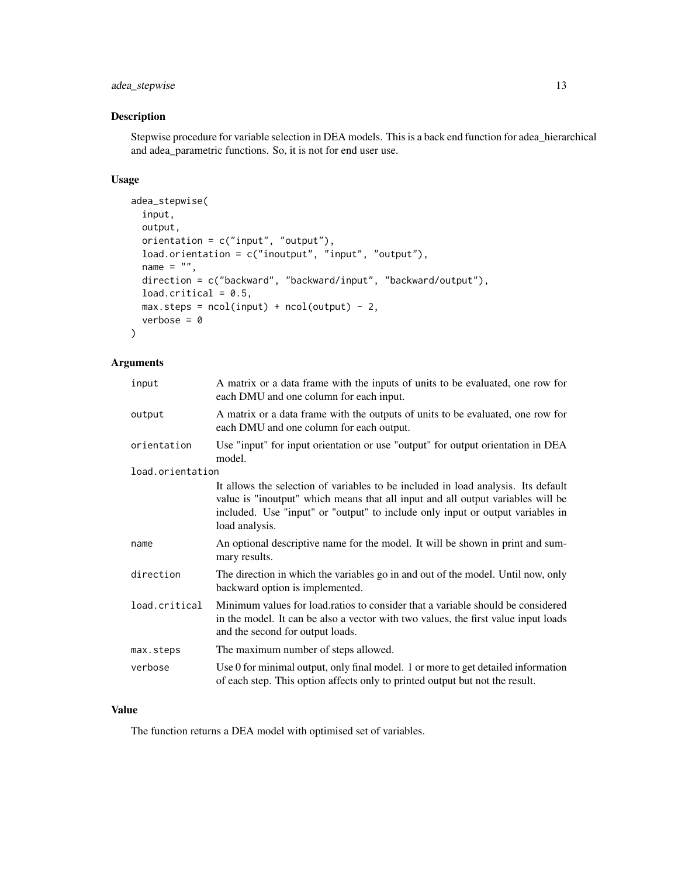#### adea\_stepwise 13

#### Description

Stepwise procedure for variable selection in DEA models. This is a back end function for adea\_hierarchical and adea\_parametric functions. So, it is not for end user use.

#### Usage

```
adea_stepwise(
  input,
 output,
 orientation = c("input", "output"),
  load.orientation = c("inoutput", "input", "output"),
 name = ",
 direction = c("backward", "backward/input", "backward/output"),
 load.critical = 0.5,
 max.steps = ncol(input) + ncol(output) - 2,verbose = 0)
```
#### Arguments

| input            | A matrix or a data frame with the inputs of units to be evaluated, one row for<br>each DMU and one column for each input.                                                                                                                                                |  |
|------------------|--------------------------------------------------------------------------------------------------------------------------------------------------------------------------------------------------------------------------------------------------------------------------|--|
| output           | A matrix or a data frame with the outputs of units to be evaluated, one row for<br>each DMU and one column for each output.                                                                                                                                              |  |
| orientation      | Use "input" for input orientation or use "output" for output orientation in DEA<br>model.                                                                                                                                                                                |  |
| load.orientation |                                                                                                                                                                                                                                                                          |  |
|                  | It allows the selection of variables to be included in load analysis. Its default<br>value is "inoutput" which means that all input and all output variables will be<br>included. Use "input" or "output" to include only input or output variables in<br>load analysis. |  |
| name             | An optional descriptive name for the model. It will be shown in print and sum-<br>mary results.                                                                                                                                                                          |  |
| direction        | The direction in which the variables go in and out of the model. Until now, only<br>backward option is implemented.                                                                                                                                                      |  |
| load.critical    | Minimum values for load.ratios to consider that a variable should be considered<br>in the model. It can be also a vector with two values, the first value input loads<br>and the second for output loads.                                                                |  |
| max.steps        | The maximum number of steps allowed.                                                                                                                                                                                                                                     |  |
| verbose          | Use 0 for minimal output, only final model. 1 or more to get detailed information<br>of each step. This option affects only to printed output but not the result.                                                                                                        |  |

#### Value

The function returns a DEA model with optimised set of variables.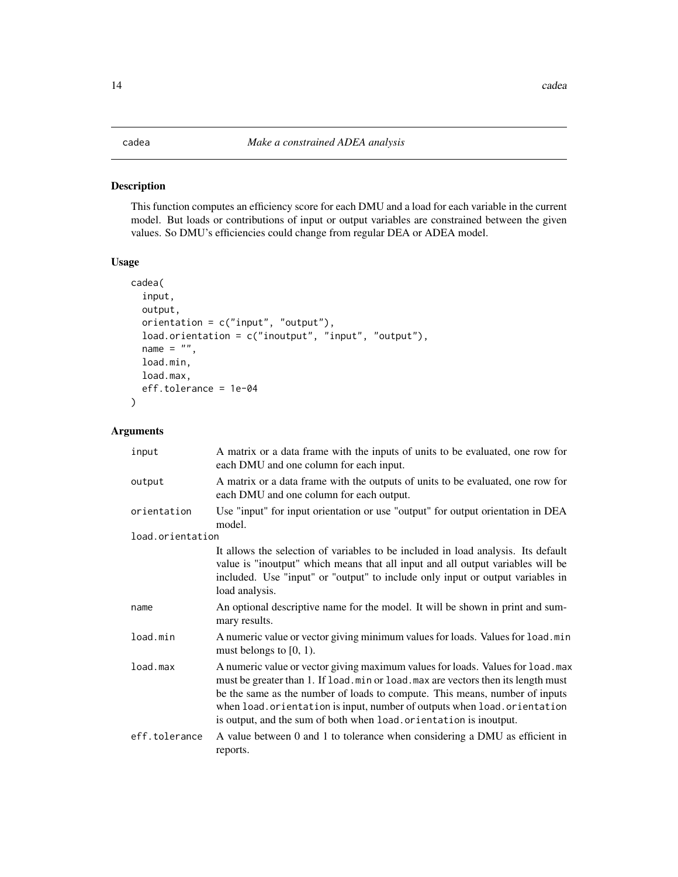#### <span id="page-13-0"></span>Description

This function computes an efficiency score for each DMU and a load for each variable in the current model. But loads or contributions of input or output variables are constrained between the given values. So DMU's efficiencies could change from regular DEA or ADEA model.

#### Usage

```
cadea(
  input,
  output,
  orientation = c("input", "output"),
  load.orientation = c("inoutput", "input", "output"),
  name = ",
  load.min,
  load.max,
  eff.tolerance = 1e-04
```
#### Arguments

 $\overline{\phantom{a}}$ 

| input            | A matrix or a data frame with the inputs of units to be evaluated, one row for<br>each DMU and one column for each input.                                                                                                                                                                                                                                                                             |  |
|------------------|-------------------------------------------------------------------------------------------------------------------------------------------------------------------------------------------------------------------------------------------------------------------------------------------------------------------------------------------------------------------------------------------------------|--|
| output           | A matrix or a data frame with the outputs of units to be evaluated, one row for<br>each DMU and one column for each output.                                                                                                                                                                                                                                                                           |  |
| orientation      | Use "input" for input orientation or use "output" for output orientation in DEA<br>model.                                                                                                                                                                                                                                                                                                             |  |
| load.orientation |                                                                                                                                                                                                                                                                                                                                                                                                       |  |
|                  | It allows the selection of variables to be included in load analysis. Its default<br>value is "inoutput" which means that all input and all output variables will be<br>included. Use "input" or "output" to include only input or output variables in<br>load analysis.                                                                                                                              |  |
| name             | An optional descriptive name for the model. It will be shown in print and sum-<br>mary results.                                                                                                                                                                                                                                                                                                       |  |
| load.min         | A numeric value or vector giving minimum values for loads. Values for load.min<br>must belongs to $[0, 1)$ .                                                                                                                                                                                                                                                                                          |  |
| load.max         | A numeric value or vector giving maximum values for loads. Values for load. max<br>must be greater than 1. If load. min or load. max are vectors then its length must<br>be the same as the number of loads to compute. This means, number of inputs<br>when load.orientation is input, number of outputs when load.orientation<br>is output, and the sum of both when load. orientation is inoutput. |  |
| eff.tolerance    | A value between 0 and 1 to tolerance when considering a DMU as efficient in<br>reports.                                                                                                                                                                                                                                                                                                               |  |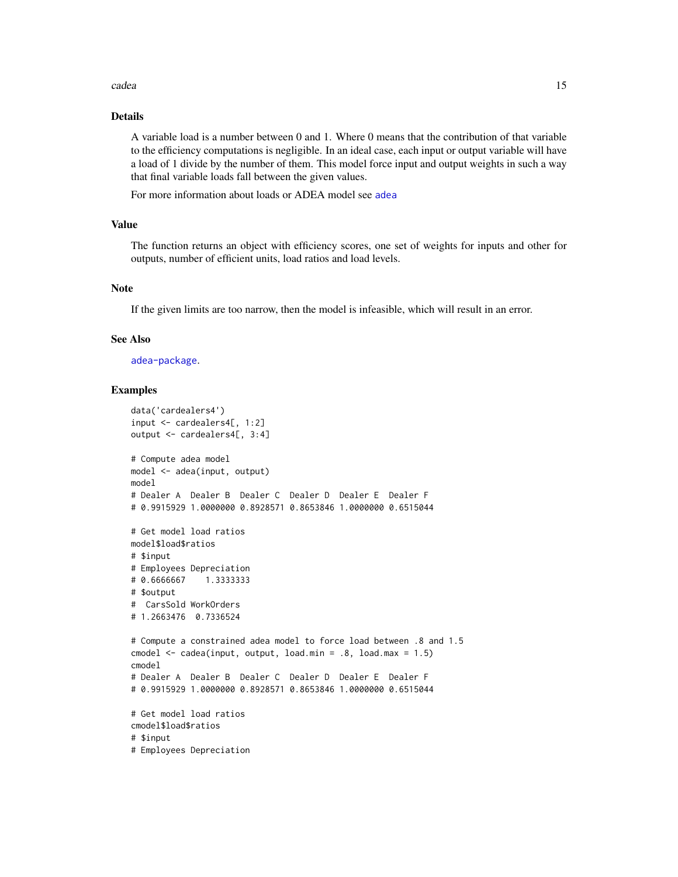#### <span id="page-14-0"></span>cadea  $15$

#### Details

A variable load is a number between 0 and 1. Where 0 means that the contribution of that variable to the efficiency computations is negligible. In an ideal case, each input or output variable will have a load of 1 divide by the number of them. This model force input and output weights in such a way that final variable loads fall between the given values.

For more information about loads or ADEA model see [adea](#page-3-1)

#### Value

The function returns an object with efficiency scores, one set of weights for inputs and other for outputs, number of efficient units, load ratios and load levels.

#### Note

If the given limits are too narrow, then the model is infeasible, which will result in an error.

#### See Also

[adea-package](#page-1-1).

#### Examples

```
data('cardealers4')
input <- cardealers4[, 1:2]
output <- cardealers4[, 3:4]
# Compute adea model
model <- adea(input, output)
model
# Dealer A Dealer B Dealer C Dealer D Dealer E Dealer F
# 0.9915929 1.0000000 0.8928571 0.8653846 1.0000000 0.6515044
# Get model load ratios
model$load$ratios
# $input
# Employees Depreciation
# 0.6666667 1.3333333
# $output
# CarsSold WorkOrders
# 1.2663476 0.7336524
# Compute a constrained adea model to force load between .8 and 1.5
cmodel <- cadea(input, output, load.min = .8, load.max = 1.5)
cmodel
# Dealer A Dealer B Dealer C Dealer D Dealer E Dealer F
# 0.9915929 1.0000000 0.8928571 0.8653846 1.0000000 0.6515044
# Get model load ratios
cmodel$load$ratios
# $input
# Employees Depreciation
```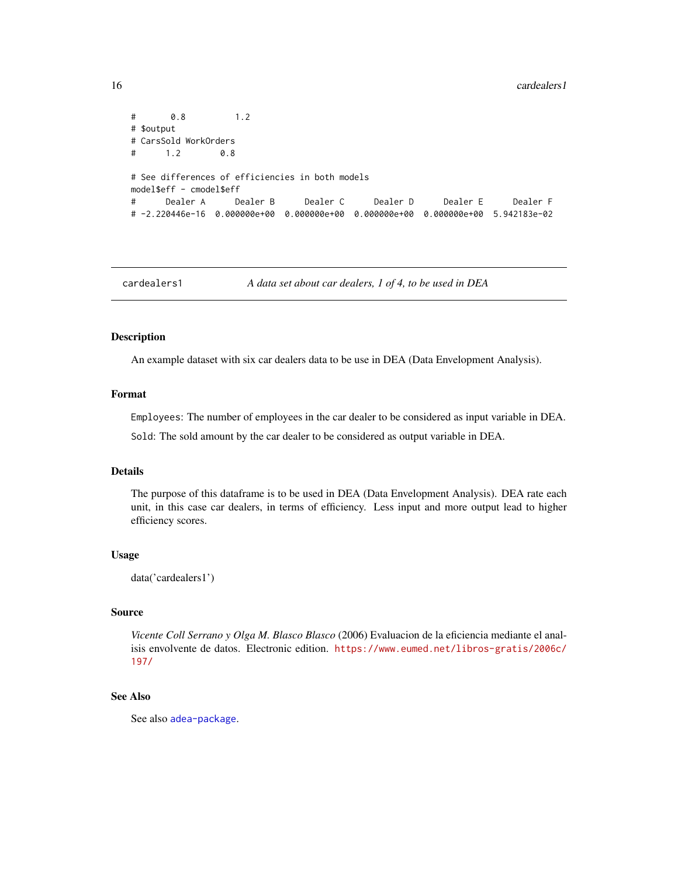```
# 0.8 1.2
# $output
# CarsSold WorkOrders
# 1.2 0.8
# See differences of efficiencies in both models
model$eff - cmodel$eff
# Dealer A Dealer B Dealer C Dealer D Dealer E Dealer F
# -2.220446e-16 0.000000e+00 0.000000e+00 0.000000e+00 0.000000e+00 5.942183e-02
```
cardealers1 *A data set about car dealers, 1 of 4, to be used in DEA*

#### Description

An example dataset with six car dealers data to be use in DEA (Data Envelopment Analysis).

#### Format

Employees: The number of employees in the car dealer to be considered as input variable in DEA.

Sold: The sold amount by the car dealer to be considered as output variable in DEA.

#### Details

The purpose of this dataframe is to be used in DEA (Data Envelopment Analysis). DEA rate each unit, in this case car dealers, in terms of efficiency. Less input and more output lead to higher efficiency scores.

#### Usage

```
data('cardealers1')
```
#### Source

*Vicente Coll Serrano y Olga M. Blasco Blasco* (2006) Evaluacion de la eficiencia mediante el analisis envolvente de datos. Electronic edition. [https://www.eumed.net/libros-gratis/2006c/](https://www.eumed.net/libros-gratis/2006c/197/) [197/](https://www.eumed.net/libros-gratis/2006c/197/)

#### See Also

See also [adea-package](#page-1-1).

<span id="page-15-0"></span>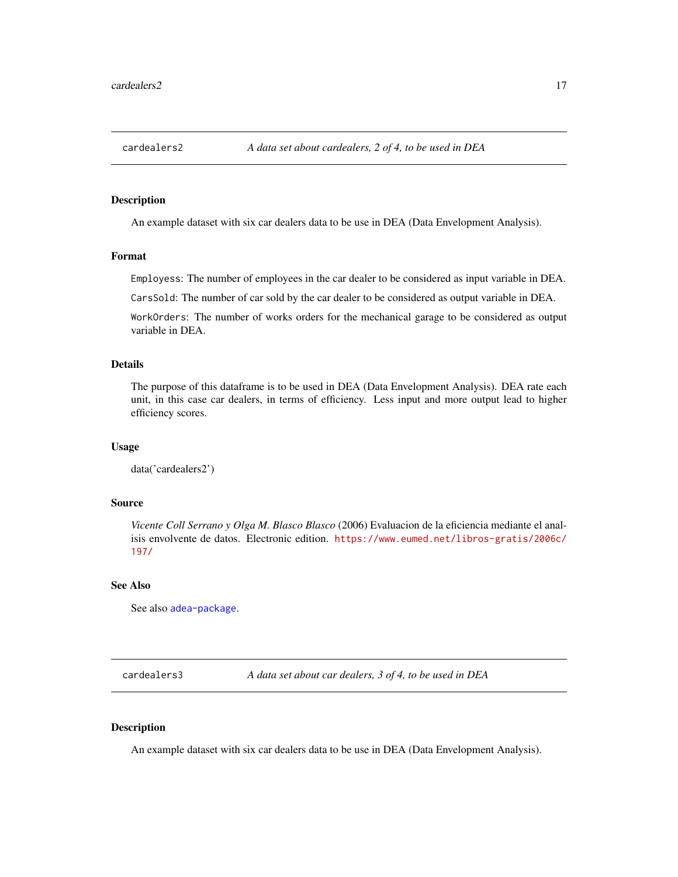<span id="page-16-0"></span>

#### Description

An example dataset with six car dealers data to be use in DEA (Data Envelopment Analysis).

#### Format

Employess: The number of employees in the car dealer to be considered as input variable in DEA.

CarsSold: The number of car sold by the car dealer to be considered as output variable in DEA.

WorkOrders: The number of works orders for the mechanical garage to be considered as output variable in DEA.

#### Details

The purpose of this dataframe is to be used in DEA (Data Envelopment Analysis). DEA rate each unit, in this case car dealers, in terms of efficiency. Less input and more output lead to higher efficiency scores.

#### Usage

data('cardealers2')

#### Source

*Vicente Coll Serrano y Olga M. Blasco Blasco* (2006) Evaluacion de la eficiencia mediante el analisis envolvente de datos. Electronic edition. [https://www.eumed.net/libros-gratis/2006c/](https://www.eumed.net/libros-gratis/2006c/197/) [197/](https://www.eumed.net/libros-gratis/2006c/197/)

#### See Also

See also [adea-package](#page-1-1).

cardealers3 *A data set about car dealers, 3 of 4, to be used in DEA*

#### Description

An example dataset with six car dealers data to be use in DEA (Data Envelopment Analysis).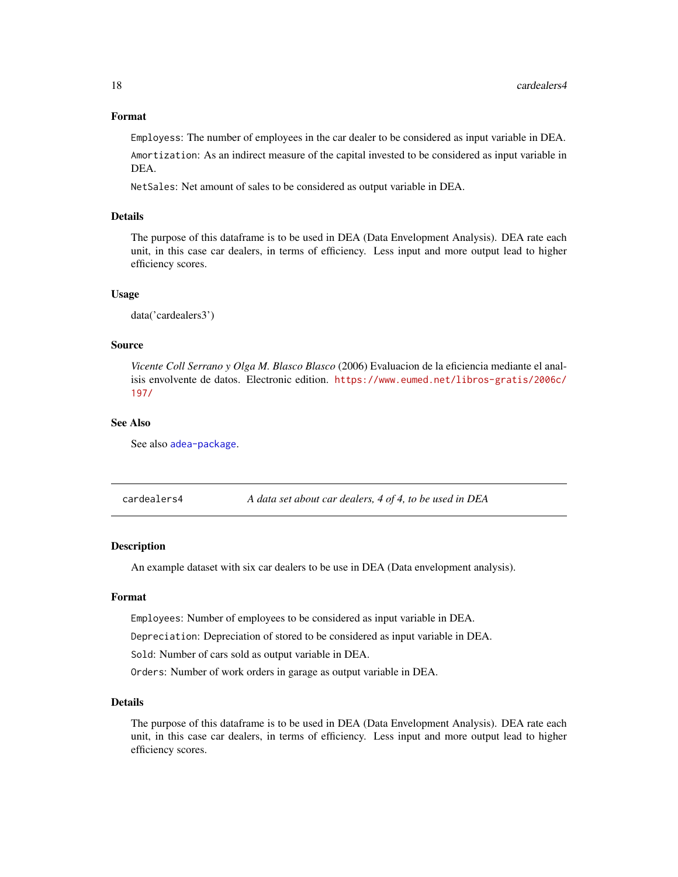#### <span id="page-17-0"></span>Format

Employess: The number of employees in the car dealer to be considered as input variable in DEA.

Amortization: As an indirect measure of the capital invested to be considered as input variable in DEA.

NetSales: Net amount of sales to be considered as output variable in DEA.

#### Details

The purpose of this dataframe is to be used in DEA (Data Envelopment Analysis). DEA rate each unit, in this case car dealers, in terms of efficiency. Less input and more output lead to higher efficiency scores.

#### Usage

data('cardealers3')

#### Source

*Vicente Coll Serrano y Olga M. Blasco Blasco* (2006) Evaluacion de la eficiencia mediante el analisis envolvente de datos. Electronic edition. [https://www.eumed.net/libros-gratis/2006c/](https://www.eumed.net/libros-gratis/2006c/197/) [197/](https://www.eumed.net/libros-gratis/2006c/197/)

#### See Also

See also [adea-package](#page-1-1).

cardealers4 *A data set about car dealers, 4 of 4, to be used in DEA*

#### Description

An example dataset with six car dealers to be use in DEA (Data envelopment analysis).

#### Format

Employees: Number of employees to be considered as input variable in DEA.

Depreciation: Depreciation of stored to be considered as input variable in DEA.

Sold: Number of cars sold as output variable in DEA.

Orders: Number of work orders in garage as output variable in DEA.

#### Details

The purpose of this dataframe is to be used in DEA (Data Envelopment Analysis). DEA rate each unit, in this case car dealers, in terms of efficiency. Less input and more output lead to higher efficiency scores.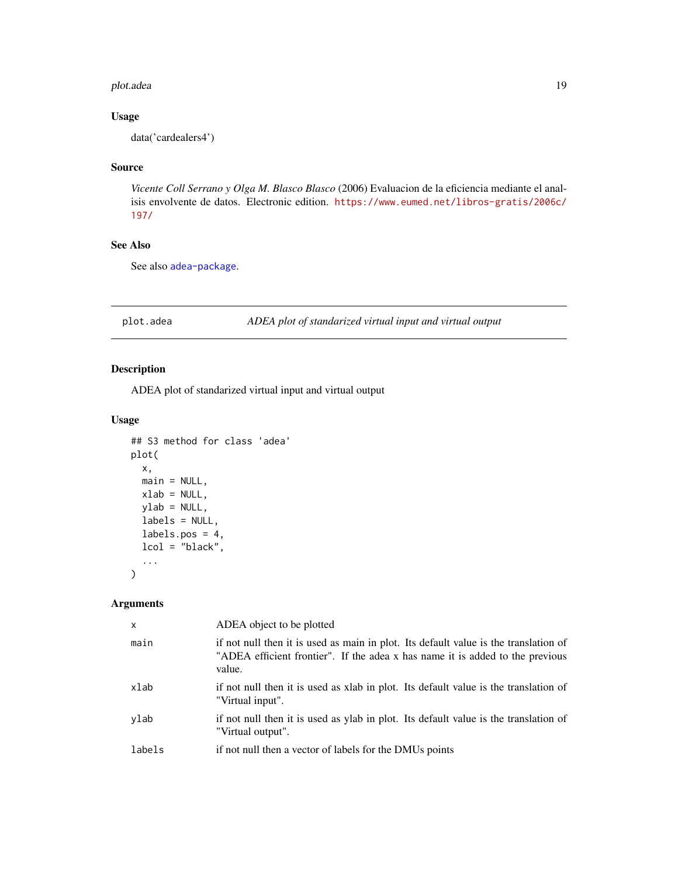#### <span id="page-18-0"></span>plot.adea to the control of the control of the control of the control of the control of the control of the control of the control of the control of the control of the control of the control of the control of the control of

#### Usage

data('cardealers4')

#### Source

*Vicente Coll Serrano y Olga M. Blasco Blasco* (2006) Evaluacion de la eficiencia mediante el analisis envolvente de datos. Electronic edition. [https://www.eumed.net/libros-gratis/2006c/](https://www.eumed.net/libros-gratis/2006c/197/) [197/](https://www.eumed.net/libros-gratis/2006c/197/)

#### See Also

See also [adea-package](#page-1-1).

plot.adea *ADEA plot of standarized virtual input and virtual output*

#### Description

ADEA plot of standarized virtual input and virtual output

#### Usage

```
## S3 method for class 'adea'
plot(
  x,
  main = NULL,
  xlab = NULL,
  ylab = NULL,
  labels = NULL,
  labels.pos = 4,
  lcol = "black",
  ...
\mathcal{L}
```

| x      | ADEA object to be plotted                                                                                                                                                       |
|--------|---------------------------------------------------------------------------------------------------------------------------------------------------------------------------------|
| main   | if not null then it is used as main in plot. Its default value is the translation of<br>"ADEA efficient frontier". If the adea x has name it is added to the previous<br>value. |
| xlab   | if not null then it is used as xlab in plot. Its default value is the translation of<br>"Virtual input".                                                                        |
| ylab   | if not null then it is used as ylab in plot. Its default value is the translation of<br>"Virtual output".                                                                       |
| labels | if not null then a vector of labels for the DMUs points                                                                                                                         |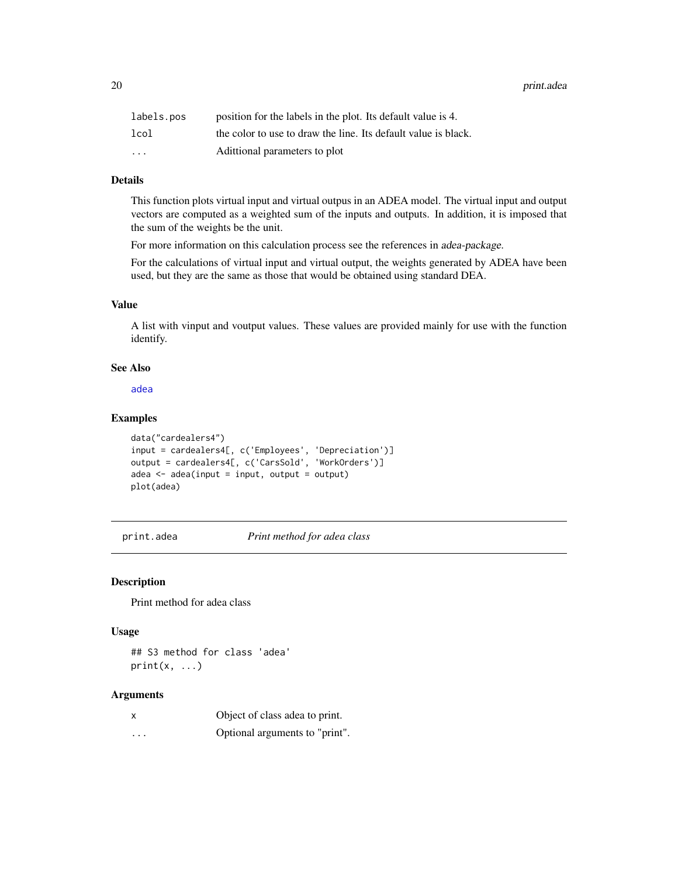<span id="page-19-0"></span>20 print.adea by the contract of the contract of the contract of the contract of the print.adea

| labels.pos | position for the labels in the plot. Its default value is 4.   |
|------------|----------------------------------------------------------------|
| lcol       | the color to use to draw the line. Its default value is black. |
| $\cdots$   | Adittional parameters to plot                                  |

#### Details

This function plots virtual input and virtual outpus in an ADEA model. The virtual input and output vectors are computed as a weighted sum of the inputs and outputs. In addition, it is imposed that the sum of the weights be the unit.

For more information on this calculation process see the references in adea-package.

For the calculations of virtual input and virtual output, the weights generated by ADEA have been used, but they are the same as those that would be obtained using standard DEA.

#### Value

A list with vinput and voutput values. These values are provided mainly for use with the function identify.

#### See Also

[adea](#page-3-1)

#### Examples

```
data("cardealers4")
input = cardealers4[, c('Employees', 'Depreciation')]
output = cardealers4[, c('CarsSold', 'WorkOrders')]
adea < -adea(intput = input, output = output)plot(adea)
```
print.adea *Print method for adea class*

#### Description

Print method for adea class

#### Usage

## S3 method for class 'adea'  $print(x, \ldots)$ 

| X | Object of class adea to print. |
|---|--------------------------------|
| . | Optional arguments to "print". |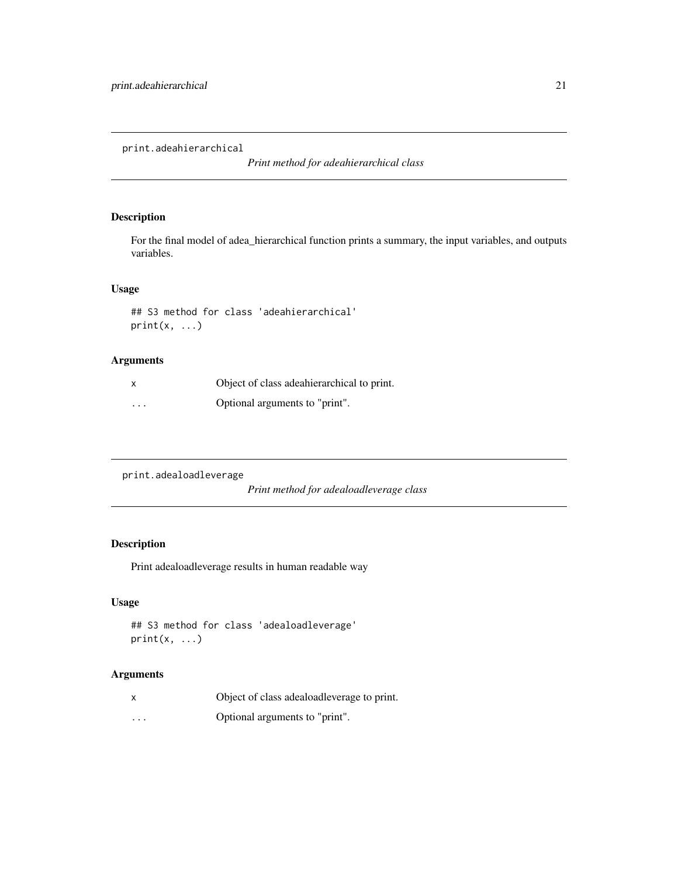<span id="page-20-0"></span>print.adeahierarchical

*Print method for adeahierarchical class*

#### Description

For the final model of adea\_hierarchical function prints a summary, the input variables, and outputs variables.

#### Usage

```
## S3 method for class 'adeahierarchical'
print(x, \ldots)
```
#### Arguments

|                         | Object of class adeahierarchical to print. |
|-------------------------|--------------------------------------------|
| $\cdot$ $\cdot$ $\cdot$ | Optional arguments to "print".             |

print.adealoadleverage

*Print method for adealoadleverage class*

#### Description

Print adealoadleverage results in human readable way

#### Usage

```
## S3 method for class 'adealoadleverage'
print(x, \ldots)
```

|                         | Object of class adeaload leverage to print. |
|-------------------------|---------------------------------------------|
| $\cdot$ $\cdot$ $\cdot$ | Optional arguments to "print".              |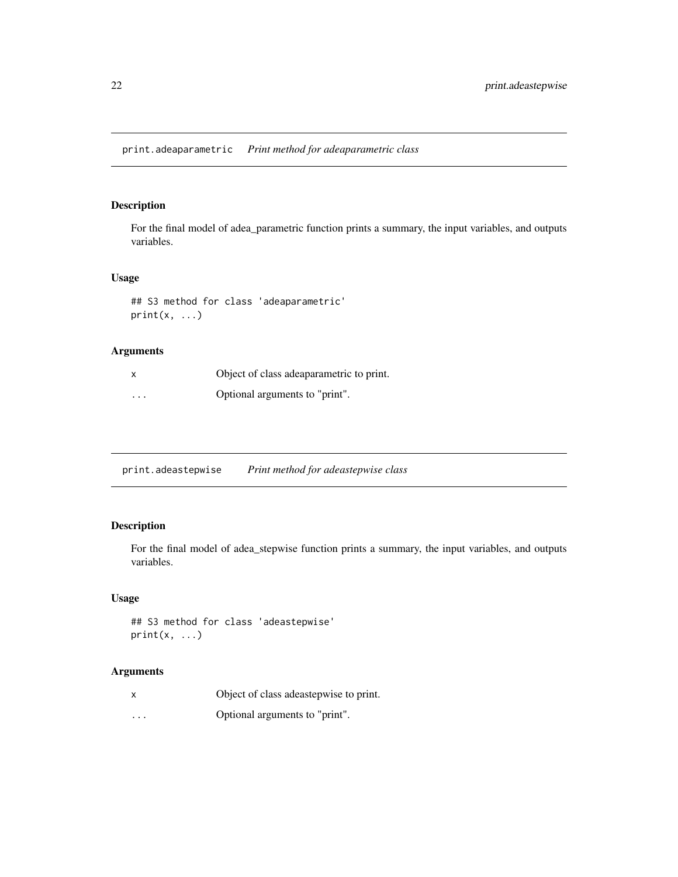#### <span id="page-21-0"></span>Description

For the final model of adea\_parametric function prints a summary, the input variables, and outputs variables.

### Usage

```
## S3 method for class 'adeaparametric'
print(x, \ldots)
```
#### Arguments

| x                       | Object of class adeaparametric to print. |
|-------------------------|------------------------------------------|
| $\cdot$ $\cdot$ $\cdot$ | Optional arguments to "print".           |

print.adeastepwise *Print method for adeastepwise class*

### Description

For the final model of adea\_stepwise function prints a summary, the input variables, and outputs variables.

#### Usage

## S3 method for class 'adeastepwise'  $print(x, \ldots)$ 

|          | Object of class adeastepwise to print. |
|----------|----------------------------------------|
| $\cdots$ | Optional arguments to "print".         |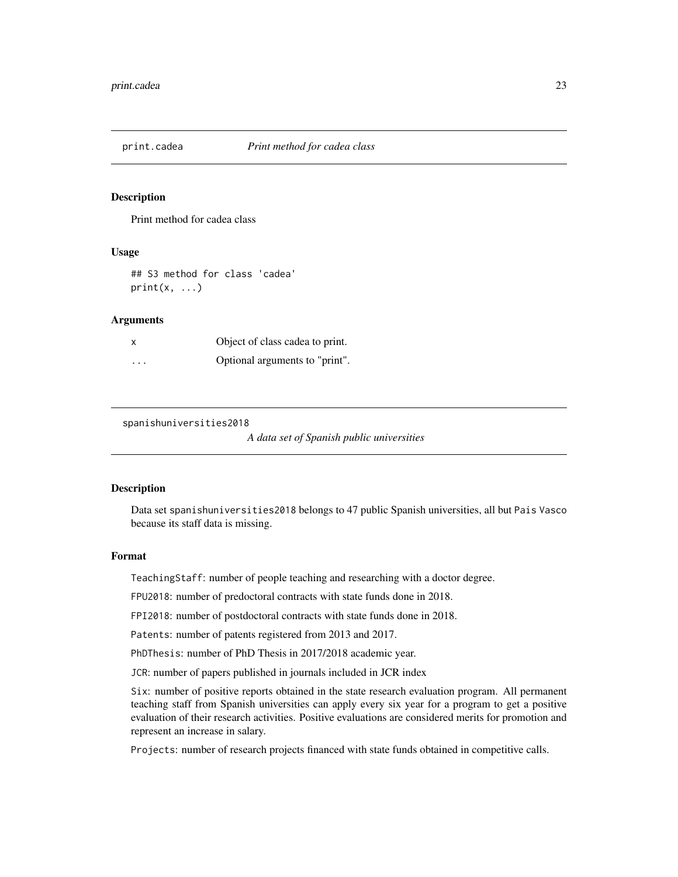<span id="page-22-0"></span>

#### Description

Print method for cadea class

#### Usage

## S3 method for class 'cadea'  $print(x, \ldots)$ 

#### **Arguments**

|                         | Object of class cadea to print. |
|-------------------------|---------------------------------|
| $\cdot$ $\cdot$ $\cdot$ | Optional arguments to "print".  |

spanishuniversities2018

*A data set of Spanish public universities*

#### **Description**

Data set spanishuniversities2018 belongs to 47 public Spanish universities, all but Pais Vasco because its staff data is missing.

#### Format

TeachingStaff: number of people teaching and researching with a doctor degree.

FPU2018: number of predoctoral contracts with state funds done in 2018.

FPI2018: number of postdoctoral contracts with state funds done in 2018.

Patents: number of patents registered from 2013 and 2017.

PhDThesis: number of PhD Thesis in 2017/2018 academic year.

JCR: number of papers published in journals included in JCR index

Six: number of positive reports obtained in the state research evaluation program. All permanent teaching staff from Spanish universities can apply every six year for a program to get a positive evaluation of their research activities. Positive evaluations are considered merits for promotion and represent an increase in salary.

Projects: number of research projects financed with state funds obtained in competitive calls.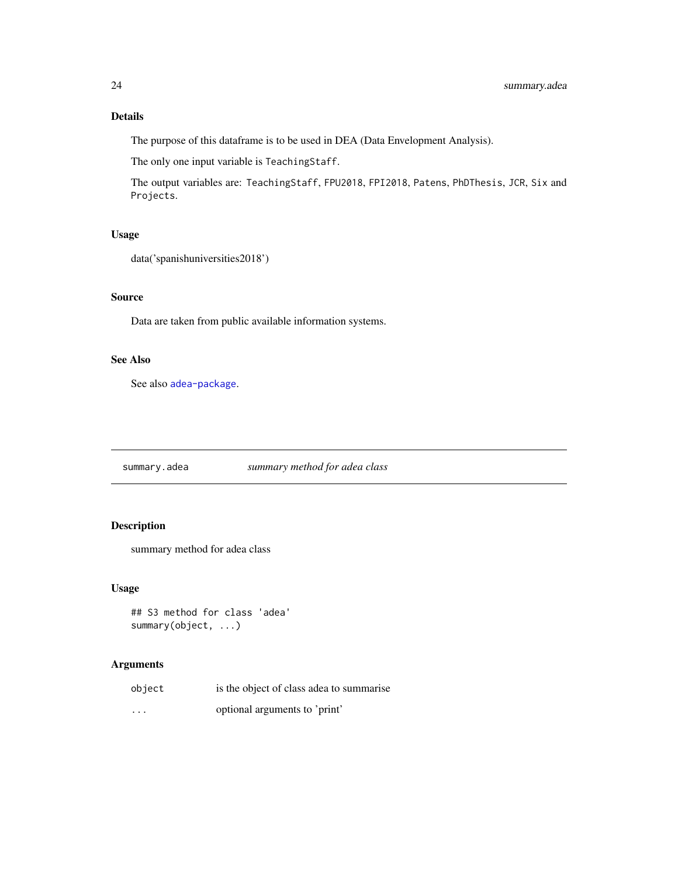### Details

The purpose of this dataframe is to be used in DEA (Data Envelopment Analysis).

The only one input variable is TeachingStaff.

The output variables are: TeachingStaff, FPU2018, FPI2018, Patens, PhDThesis, JCR, Six and Projects.

#### Usage

data('spanishuniversities2018')

#### Source

Data are taken from public available information systems.

### See Also

See also [adea-package](#page-1-1).

summary.adea *summary method for adea class*

### Description

summary method for adea class

#### Usage

```
## S3 method for class 'adea'
summary(object, ...)
```

| object   | is the object of class adea to summarise |
|----------|------------------------------------------|
| $\cdots$ | optional arguments to 'print'            |

<span id="page-23-0"></span>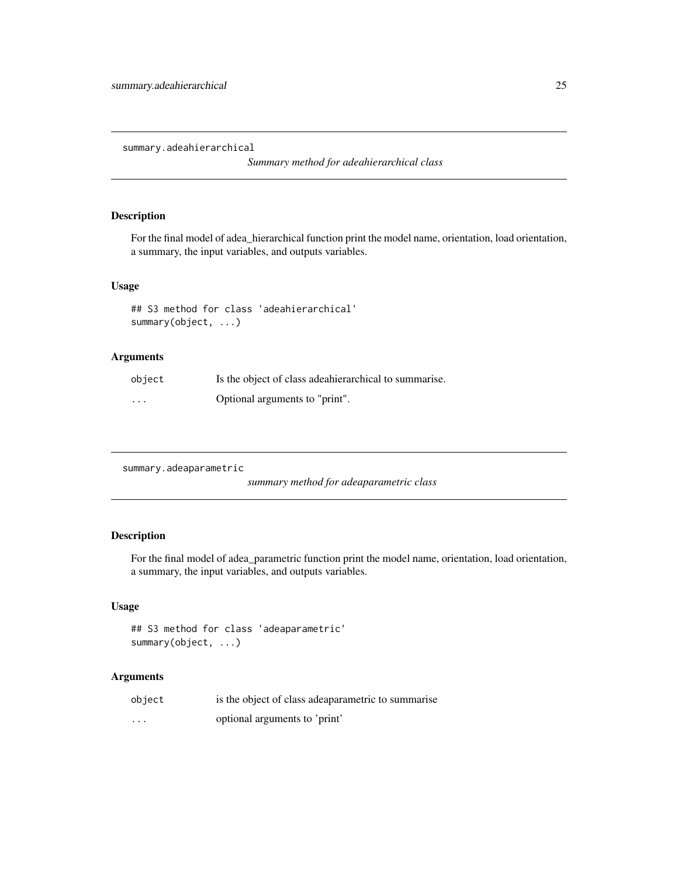<span id="page-24-0"></span>summary.adeahierarchical

*Summary method for adeahierarchical class*

#### Description

For the final model of adea\_hierarchical function print the model name, orientation, load orientation, a summary, the input variables, and outputs variables.

#### Usage

```
## S3 method for class 'adeahierarchical'
summary(object, ...)
```
#### Arguments

| object   | Is the object of class adeahierarchical to summarise. |
|----------|-------------------------------------------------------|
| $\cdots$ | Optional arguments to "print".                        |

summary.adeaparametric

*summary method for adeaparametric class*

#### Description

For the final model of adea\_parametric function print the model name, orientation, load orientation, a summary, the input variables, and outputs variables.

#### Usage

```
## S3 method for class 'adeaparametric'
summary(object, ...)
```

| object   | is the object of class adeaparametric to summarise |
|----------|----------------------------------------------------|
| $\cdots$ | optional arguments to 'print'                      |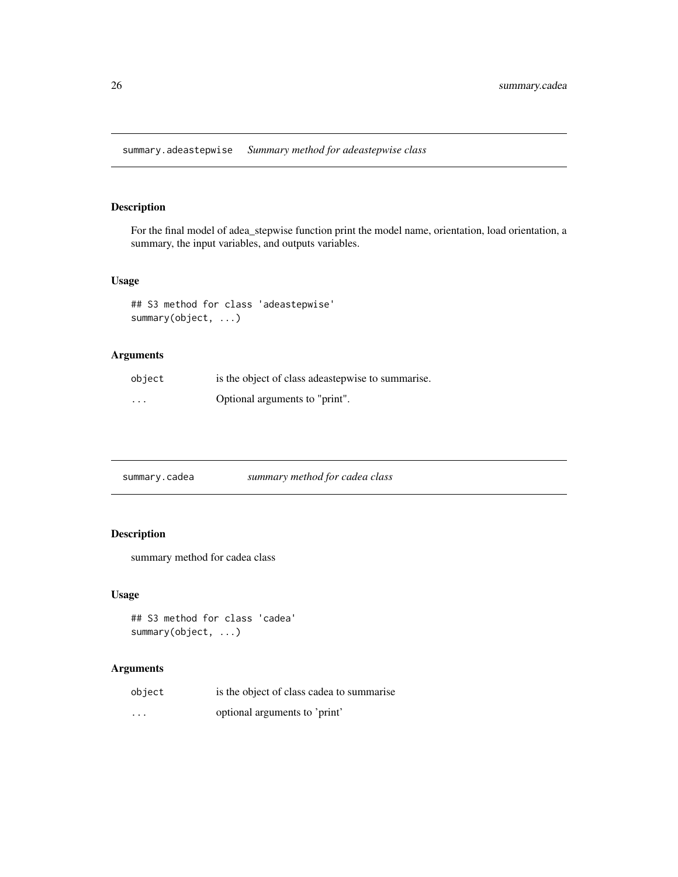<span id="page-25-0"></span>summary.adeastepwise *Summary method for adeastepwise class*

#### Description

For the final model of adea\_stepwise function print the model name, orientation, load orientation, a summary, the input variables, and outputs variables.

#### Usage

## S3 method for class 'adeastepwise' summary(object, ...)

#### Arguments

| object  | is the object of class adeastepwise to summarise. |
|---------|---------------------------------------------------|
| $\cdot$ | Optional arguments to "print".                    |

summary.cadea *summary method for cadea class*

#### Description

summary method for cadea class

#### Usage

```
## S3 method for class 'cadea'
summary(object, ...)
```

| object   | is the object of class cadea to summarise |
|----------|-------------------------------------------|
| $\cdots$ | optional arguments to 'print'             |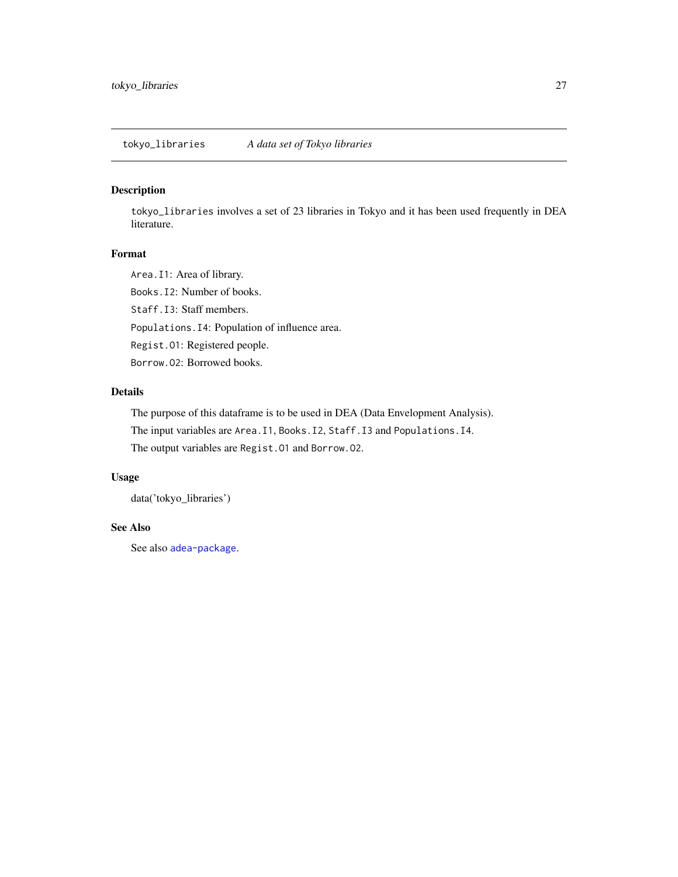<span id="page-26-0"></span>tokyo\_libraries *A data set of Tokyo libraries*

#### Description

tokyo\_libraries involves a set of 23 libraries in Tokyo and it has been used frequently in DEA literature.

#### Format

Area.I1: Area of library.

Books.I2: Number of books.

Staff.I3: Staff members.

Populations.I4: Population of influence area.

Regist.O1: Registered people.

Borrow.O2: Borrowed books.

#### Details

The purpose of this dataframe is to be used in DEA (Data Envelopment Analysis).

The input variables are Area.I1, Books.I2, Staff.I3 and Populations.I4.

The output variables are Regist.O1 and Borrow.O2.

#### Usage

data('tokyo\_libraries')

#### See Also

See also [adea-package](#page-1-1).